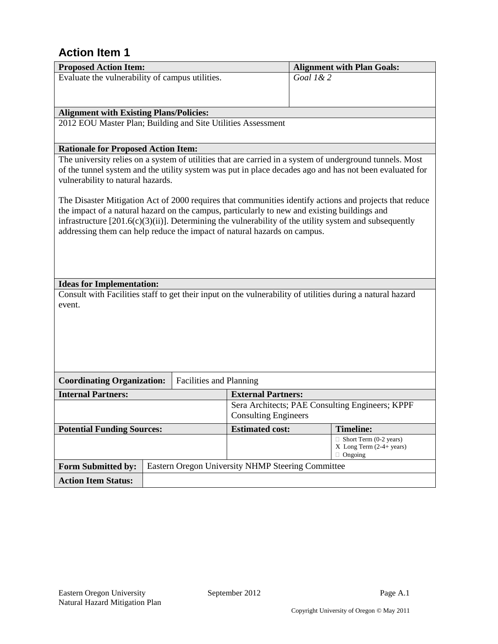| <b>Proposed Action Item:</b>                                                                                                                 |                                                   | <b>Alignment with Plan Goals:</b>               |  |  |
|----------------------------------------------------------------------------------------------------------------------------------------------|---------------------------------------------------|-------------------------------------------------|--|--|
| Evaluate the vulnerability of campus utilities.                                                                                              |                                                   | Goal 1&2                                        |  |  |
|                                                                                                                                              |                                                   |                                                 |  |  |
|                                                                                                                                              |                                                   |                                                 |  |  |
| <b>Alignment with Existing Plans/Policies:</b>                                                                                               |                                                   |                                                 |  |  |
| 2012 EOU Master Plan; Building and Site Utilities Assessment                                                                                 |                                                   |                                                 |  |  |
|                                                                                                                                              |                                                   |                                                 |  |  |
| <b>Rationale for Proposed Action Item:</b>                                                                                                   |                                                   |                                                 |  |  |
| The university relies on a system of utilities that are carried in a system of underground tunnels. Most                                     |                                                   |                                                 |  |  |
| of the tunnel system and the utility system was put in place decades ago and has not been evaluated for<br>vulnerability to natural hazards. |                                                   |                                                 |  |  |
|                                                                                                                                              |                                                   |                                                 |  |  |
| The Disaster Mitigation Act of 2000 requires that communities identify actions and projects that reduce                                      |                                                   |                                                 |  |  |
| the impact of a natural hazard on the campus, particularly to new and existing buildings and                                                 |                                                   |                                                 |  |  |
| infrastructure $[201.6(c)(3)(ii)]$ . Determining the vulnerability of the utility system and subsequently                                    |                                                   |                                                 |  |  |
| addressing them can help reduce the impact of natural hazards on campus.                                                                     |                                                   |                                                 |  |  |
|                                                                                                                                              |                                                   |                                                 |  |  |
|                                                                                                                                              |                                                   |                                                 |  |  |
|                                                                                                                                              |                                                   |                                                 |  |  |
| <b>Ideas for Implementation:</b>                                                                                                             |                                                   |                                                 |  |  |
| Consult with Facilities staff to get their input on the vulnerability of utilities during a natural hazard                                   |                                                   |                                                 |  |  |
| event.                                                                                                                                       |                                                   |                                                 |  |  |
|                                                                                                                                              |                                                   |                                                 |  |  |
|                                                                                                                                              |                                                   |                                                 |  |  |
|                                                                                                                                              |                                                   |                                                 |  |  |
|                                                                                                                                              |                                                   |                                                 |  |  |
|                                                                                                                                              |                                                   |                                                 |  |  |
| <b>Coordinating Organization:</b>                                                                                                            | Facilities and Planning                           |                                                 |  |  |
| <b>Internal Partners:</b>                                                                                                                    | <b>External Partners:</b>                         |                                                 |  |  |
|                                                                                                                                              |                                                   | Sera Architects; PAE Consulting Engineers; KPPF |  |  |
|                                                                                                                                              | <b>Consulting Engineers</b>                       |                                                 |  |  |
| <b>Potential Funding Sources:</b>                                                                                                            | <b>Estimated cost:</b>                            | <b>Timeline:</b>                                |  |  |
| $\Box$ Short Term (0-2 years)<br>$X$ Long Term $(2-4+)$ years)                                                                               |                                                   |                                                 |  |  |
|                                                                                                                                              |                                                   | $\Box$ Ongoing                                  |  |  |
| Form Submitted by:                                                                                                                           | Eastern Oregon University NHMP Steering Committee |                                                 |  |  |
| <b>Action Item Status:</b>                                                                                                                   |                                                   |                                                 |  |  |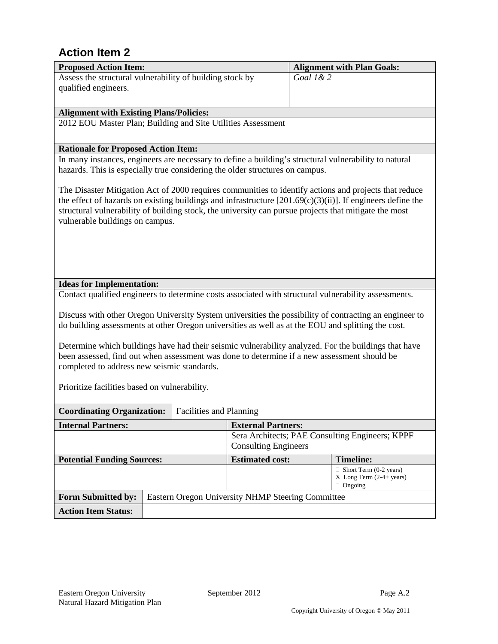| <b>Proposed Action Item:</b>                                                                                                                                                                                           |                                                   |                             | <b>Alignment with Plan Goals:</b>                              |
|------------------------------------------------------------------------------------------------------------------------------------------------------------------------------------------------------------------------|---------------------------------------------------|-----------------------------|----------------------------------------------------------------|
| Assess the structural vulnerability of building stock by                                                                                                                                                               |                                                   | Goal 1&2                    |                                                                |
| qualified engineers.                                                                                                                                                                                                   |                                                   |                             |                                                                |
|                                                                                                                                                                                                                        |                                                   |                             |                                                                |
| <b>Alignment with Existing Plans/Policies:</b>                                                                                                                                                                         |                                                   |                             |                                                                |
| 2012 EOU Master Plan; Building and Site Utilities Assessment                                                                                                                                                           |                                                   |                             |                                                                |
|                                                                                                                                                                                                                        |                                                   |                             |                                                                |
| <b>Rationale for Proposed Action Item:</b>                                                                                                                                                                             |                                                   |                             |                                                                |
| In many instances, engineers are necessary to define a building's structural vulnerability to natural                                                                                                                  |                                                   |                             |                                                                |
| hazards. This is especially true considering the older structures on campus.                                                                                                                                           |                                                   |                             |                                                                |
|                                                                                                                                                                                                                        |                                                   |                             |                                                                |
| The Disaster Mitigation Act of 2000 requires communities to identify actions and projects that reduce<br>the effect of hazards on existing buildings and infrastructure $[201.69(c)(3)(ii)]$ . If engineers define the |                                                   |                             |                                                                |
| structural vulnerability of building stock, the university can pursue projects that mitigate the most                                                                                                                  |                                                   |                             |                                                                |
| vulnerable buildings on campus.                                                                                                                                                                                        |                                                   |                             |                                                                |
|                                                                                                                                                                                                                        |                                                   |                             |                                                                |
|                                                                                                                                                                                                                        |                                                   |                             |                                                                |
|                                                                                                                                                                                                                        |                                                   |                             |                                                                |
|                                                                                                                                                                                                                        |                                                   |                             |                                                                |
|                                                                                                                                                                                                                        |                                                   |                             |                                                                |
| <b>Ideas for Implementation:</b>                                                                                                                                                                                       |                                                   |                             |                                                                |
| Contact qualified engineers to determine costs associated with structural vulnerability assessments.                                                                                                                   |                                                   |                             |                                                                |
| Discuss with other Oregon University System universities the possibility of contracting an engineer to                                                                                                                 |                                                   |                             |                                                                |
| do building assessments at other Oregon universities as well as at the EOU and splitting the cost.                                                                                                                     |                                                   |                             |                                                                |
|                                                                                                                                                                                                                        |                                                   |                             |                                                                |
| Determine which buildings have had their seismic vulnerability analyzed. For the buildings that have                                                                                                                   |                                                   |                             |                                                                |
| been assessed, find out when assessment was done to determine if a new assessment should be                                                                                                                            |                                                   |                             |                                                                |
| completed to address new seismic standards.                                                                                                                                                                            |                                                   |                             |                                                                |
|                                                                                                                                                                                                                        |                                                   |                             |                                                                |
| Prioritize facilities based on vulnerability.                                                                                                                                                                          |                                                   |                             |                                                                |
|                                                                                                                                                                                                                        |                                                   |                             |                                                                |
| <b>Coordinating Organization:</b>                                                                                                                                                                                      | Facilities and Planning                           |                             |                                                                |
| <b>Internal Partners:</b>                                                                                                                                                                                              | <b>External Partners:</b>                         |                             |                                                                |
|                                                                                                                                                                                                                        |                                                   | <b>Consulting Engineers</b> | Sera Architects; PAE Consulting Engineers; KPPF                |
|                                                                                                                                                                                                                        |                                                   |                             |                                                                |
| <b>Potential Funding Sources:</b>                                                                                                                                                                                      | <b>Estimated cost:</b>                            |                             | <b>Timeline:</b>                                               |
|                                                                                                                                                                                                                        |                                                   |                             | $\Box$ Short Term (0-2 years)<br>$X$ Long Term $(2-4+)$ years) |
|                                                                                                                                                                                                                        |                                                   |                             | $\Box$ Ongoing                                                 |
| <b>Form Submitted by:</b>                                                                                                                                                                                              | Eastern Oregon University NHMP Steering Committee |                             |                                                                |
| <b>Action Item Status:</b>                                                                                                                                                                                             |                                                   |                             |                                                                |
|                                                                                                                                                                                                                        |                                                   |                             |                                                                |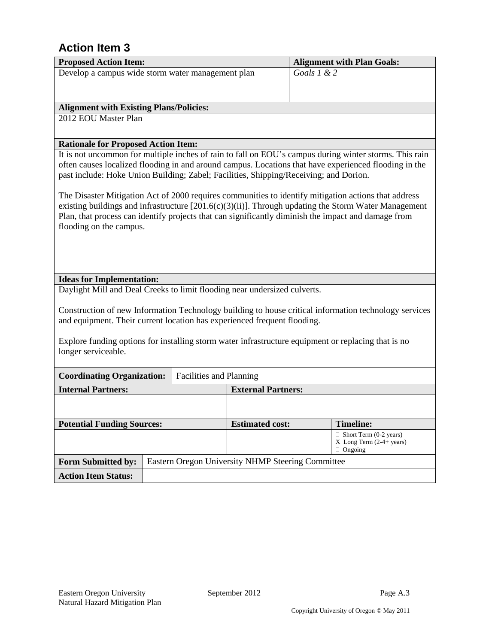| <b>Proposed Action Item:</b>                                                                                                                                                                                                                                                                                                                      |                                                                                                                                                                                                                                                                                          |                                                   | <b>Alignment with Plan Goals:</b>                                                |  |  |  |  |
|---------------------------------------------------------------------------------------------------------------------------------------------------------------------------------------------------------------------------------------------------------------------------------------------------------------------------------------------------|------------------------------------------------------------------------------------------------------------------------------------------------------------------------------------------------------------------------------------------------------------------------------------------|---------------------------------------------------|----------------------------------------------------------------------------------|--|--|--|--|
| Develop a campus wide storm water management plan                                                                                                                                                                                                                                                                                                 |                                                                                                                                                                                                                                                                                          |                                                   | Goals $1 & 2$                                                                    |  |  |  |  |
|                                                                                                                                                                                                                                                                                                                                                   |                                                                                                                                                                                                                                                                                          |                                                   |                                                                                  |  |  |  |  |
|                                                                                                                                                                                                                                                                                                                                                   |                                                                                                                                                                                                                                                                                          |                                                   |                                                                                  |  |  |  |  |
| <b>Alignment with Existing Plans/Policies:</b>                                                                                                                                                                                                                                                                                                    |                                                                                                                                                                                                                                                                                          |                                                   |                                                                                  |  |  |  |  |
| 2012 EOU Master Plan                                                                                                                                                                                                                                                                                                                              |                                                                                                                                                                                                                                                                                          |                                                   |                                                                                  |  |  |  |  |
| <b>Rationale for Proposed Action Item:</b>                                                                                                                                                                                                                                                                                                        |                                                                                                                                                                                                                                                                                          |                                                   |                                                                                  |  |  |  |  |
| It is not uncommon for multiple inches of rain to fall on EOU's campus during winter storms. This rain<br>often causes localized flooding in and around campus. Locations that have experienced flooding in the<br>past include: Hoke Union Building; Zabel; Facilities, Shipping/Receiving; and Dorion.                                          |                                                                                                                                                                                                                                                                                          |                                                   |                                                                                  |  |  |  |  |
| The Disaster Mitigation Act of 2000 requires communities to identify mitigation actions that address<br>existing buildings and infrastructure $[201.6(c)(3)(ii)]$ . Through updating the Storm Water Management<br>Plan, that process can identify projects that can significantly diminish the impact and damage from<br>flooding on the campus. |                                                                                                                                                                                                                                                                                          |                                                   |                                                                                  |  |  |  |  |
| <b>Ideas for Implementation:</b>                                                                                                                                                                                                                                                                                                                  |                                                                                                                                                                                                                                                                                          |                                                   |                                                                                  |  |  |  |  |
| Daylight Mill and Deal Creeks to limit flooding near undersized culverts.                                                                                                                                                                                                                                                                         |                                                                                                                                                                                                                                                                                          |                                                   |                                                                                  |  |  |  |  |
|                                                                                                                                                                                                                                                                                                                                                   | Construction of new Information Technology building to house critical information technology services<br>and equipment. Their current location has experienced frequent flooding.<br>Explore funding options for installing storm water infrastructure equipment or replacing that is no |                                                   |                                                                                  |  |  |  |  |
| longer serviceable.                                                                                                                                                                                                                                                                                                                               |                                                                                                                                                                                                                                                                                          |                                                   |                                                                                  |  |  |  |  |
| <b>Coordinating Organization:</b>                                                                                                                                                                                                                                                                                                                 | Facilities and Planning                                                                                                                                                                                                                                                                  |                                                   |                                                                                  |  |  |  |  |
| <b>Internal Partners:</b>                                                                                                                                                                                                                                                                                                                         |                                                                                                                                                                                                                                                                                          | <b>External Partners:</b>                         |                                                                                  |  |  |  |  |
|                                                                                                                                                                                                                                                                                                                                                   |                                                                                                                                                                                                                                                                                          |                                                   |                                                                                  |  |  |  |  |
| <b>Potential Funding Sources:</b><br><b>Timeline:</b><br><b>Estimated cost:</b>                                                                                                                                                                                                                                                                   |                                                                                                                                                                                                                                                                                          |                                                   |                                                                                  |  |  |  |  |
|                                                                                                                                                                                                                                                                                                                                                   |                                                                                                                                                                                                                                                                                          |                                                   | $\Box$ Short Term (0-2 years)<br>$X$ Long Term $(2-4+)$ years)<br>$\Box$ Ongoing |  |  |  |  |
| <b>Form Submitted by:</b>                                                                                                                                                                                                                                                                                                                         |                                                                                                                                                                                                                                                                                          | Eastern Oregon University NHMP Steering Committee |                                                                                  |  |  |  |  |
| <b>Action Item Status:</b>                                                                                                                                                                                                                                                                                                                        |                                                                                                                                                                                                                                                                                          |                                                   |                                                                                  |  |  |  |  |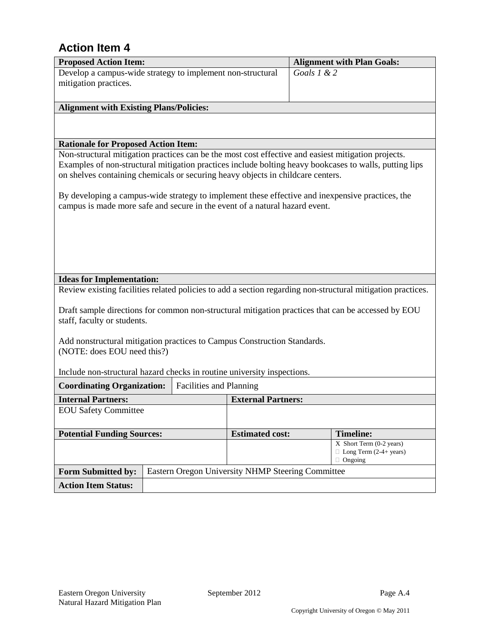| <b>Proposed Action Item:</b>                                                                                                                      |  |                                |                                                   |             | <b>Alignment with Plan Goals:</b>                                                                           |
|---------------------------------------------------------------------------------------------------------------------------------------------------|--|--------------------------------|---------------------------------------------------|-------------|-------------------------------------------------------------------------------------------------------------|
| Develop a campus-wide strategy to implement non-structural                                                                                        |  |                                |                                                   | Goals 1 & 2 |                                                                                                             |
| mitigation practices.                                                                                                                             |  |                                |                                                   |             |                                                                                                             |
|                                                                                                                                                   |  |                                |                                                   |             |                                                                                                             |
| <b>Alignment with Existing Plans/Policies:</b>                                                                                                    |  |                                |                                                   |             |                                                                                                             |
|                                                                                                                                                   |  |                                |                                                   |             |                                                                                                             |
|                                                                                                                                                   |  |                                |                                                   |             |                                                                                                             |
| <b>Rationale for Proposed Action Item:</b><br>Non-structural mitigation practices can be the most cost effective and easiest mitigation projects. |  |                                |                                                   |             |                                                                                                             |
|                                                                                                                                                   |  |                                |                                                   |             | Examples of non-structural mitigation practices include bolting heavy bookcases to walls, putting lips      |
| on shelves containing chemicals or securing heavy objects in childcare centers.                                                                   |  |                                |                                                   |             |                                                                                                             |
|                                                                                                                                                   |  |                                |                                                   |             |                                                                                                             |
| By developing a campus-wide strategy to implement these effective and inexpensive practices, the                                                  |  |                                |                                                   |             |                                                                                                             |
| campus is made more safe and secure in the event of a natural hazard event.                                                                       |  |                                |                                                   |             |                                                                                                             |
|                                                                                                                                                   |  |                                |                                                   |             |                                                                                                             |
|                                                                                                                                                   |  |                                |                                                   |             |                                                                                                             |
|                                                                                                                                                   |  |                                |                                                   |             |                                                                                                             |
|                                                                                                                                                   |  |                                |                                                   |             |                                                                                                             |
|                                                                                                                                                   |  |                                |                                                   |             |                                                                                                             |
| <b>Ideas for Implementation:</b>                                                                                                                  |  |                                |                                                   |             | Review existing facilities related policies to add a section regarding non-structural mitigation practices. |
|                                                                                                                                                   |  |                                |                                                   |             |                                                                                                             |
|                                                                                                                                                   |  |                                |                                                   |             | Draft sample directions for common non-structural mitigation practices that can be accessed by EOU          |
| staff, faculty or students.                                                                                                                       |  |                                |                                                   |             |                                                                                                             |
|                                                                                                                                                   |  |                                |                                                   |             |                                                                                                             |
| Add nonstructural mitigation practices to Campus Construction Standards.                                                                          |  |                                |                                                   |             |                                                                                                             |
| (NOTE: does EOU need this?)                                                                                                                       |  |                                |                                                   |             |                                                                                                             |
| Include non-structural hazard checks in routine university inspections.                                                                           |  |                                |                                                   |             |                                                                                                             |
| <b>Coordinating Organization:</b>                                                                                                                 |  | <b>Facilities and Planning</b> |                                                   |             |                                                                                                             |
| <b>Internal Partners:</b>                                                                                                                         |  |                                | <b>External Partners:</b>                         |             |                                                                                                             |
| <b>EOU Safety Committee</b>                                                                                                                       |  |                                |                                                   |             |                                                                                                             |
|                                                                                                                                                   |  |                                |                                                   |             |                                                                                                             |
| <b>Potential Funding Sources:</b><br><b>Estimated cost:</b>                                                                                       |  |                                |                                                   |             | <b>Timeline:</b>                                                                                            |
|                                                                                                                                                   |  |                                |                                                   |             | X Short Term (0-2 years)                                                                                    |
|                                                                                                                                                   |  |                                |                                                   |             | $\Box$ Long Term (2-4+ years)<br>$\Box$ Ongoing                                                             |
| <b>Form Submitted by:</b>                                                                                                                         |  |                                | Eastern Oregon University NHMP Steering Committee |             |                                                                                                             |
| <b>Action Item Status:</b>                                                                                                                        |  |                                |                                                   |             |                                                                                                             |
|                                                                                                                                                   |  |                                |                                                   |             |                                                                                                             |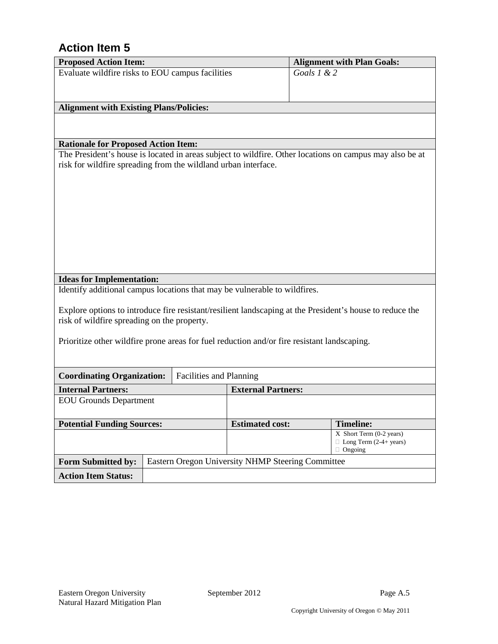| <b>Proposed Action Item:</b>                                                                |  |                         |                                                   |               | <b>Alignment with Plan Goals:</b>                                                                        |
|---------------------------------------------------------------------------------------------|--|-------------------------|---------------------------------------------------|---------------|----------------------------------------------------------------------------------------------------------|
| Evaluate wildfire risks to EOU campus facilities                                            |  |                         |                                                   | Goals $1 & 2$ |                                                                                                          |
|                                                                                             |  |                         |                                                   |               |                                                                                                          |
|                                                                                             |  |                         |                                                   |               |                                                                                                          |
| <b>Alignment with Existing Plans/Policies:</b>                                              |  |                         |                                                   |               |                                                                                                          |
|                                                                                             |  |                         |                                                   |               |                                                                                                          |
|                                                                                             |  |                         |                                                   |               |                                                                                                          |
| <b>Rationale for Proposed Action Item:</b>                                                  |  |                         |                                                   |               |                                                                                                          |
|                                                                                             |  |                         |                                                   |               | The President's house is located in areas subject to wildfire. Other locations on campus may also be at  |
| risk for wildfire spreading from the wildland urban interface.                              |  |                         |                                                   |               |                                                                                                          |
|                                                                                             |  |                         |                                                   |               |                                                                                                          |
|                                                                                             |  |                         |                                                   |               |                                                                                                          |
|                                                                                             |  |                         |                                                   |               |                                                                                                          |
|                                                                                             |  |                         |                                                   |               |                                                                                                          |
|                                                                                             |  |                         |                                                   |               |                                                                                                          |
|                                                                                             |  |                         |                                                   |               |                                                                                                          |
|                                                                                             |  |                         |                                                   |               |                                                                                                          |
|                                                                                             |  |                         |                                                   |               |                                                                                                          |
|                                                                                             |  |                         |                                                   |               |                                                                                                          |
| <b>Ideas for Implementation:</b>                                                            |  |                         |                                                   |               |                                                                                                          |
| Identify additional campus locations that may be vulnerable to wildfires.                   |  |                         |                                                   |               |                                                                                                          |
|                                                                                             |  |                         |                                                   |               |                                                                                                          |
|                                                                                             |  |                         |                                                   |               | Explore options to introduce fire resistant/resilient landscaping at the President's house to reduce the |
| risk of wildfire spreading on the property.                                                 |  |                         |                                                   |               |                                                                                                          |
| Prioritize other wildfire prone areas for fuel reduction and/or fire resistant landscaping. |  |                         |                                                   |               |                                                                                                          |
|                                                                                             |  |                         |                                                   |               |                                                                                                          |
|                                                                                             |  |                         |                                                   |               |                                                                                                          |
| <b>Coordinating Organization:</b>                                                           |  | Facilities and Planning |                                                   |               |                                                                                                          |
| <b>Internal Partners:</b>                                                                   |  |                         | <b>External Partners:</b>                         |               |                                                                                                          |
| <b>EOU</b> Grounds Department                                                               |  |                         |                                                   |               |                                                                                                          |
|                                                                                             |  |                         |                                                   |               |                                                                                                          |
| <b>Potential Funding Sources:</b>                                                           |  |                         | <b>Estimated cost:</b>                            |               | <b>Timeline:</b>                                                                                         |
|                                                                                             |  |                         |                                                   |               | X Short Term (0-2 years)                                                                                 |
| $\Box$ Long Term (2-4+ years)                                                               |  |                         |                                                   |               |                                                                                                          |
|                                                                                             |  |                         |                                                   |               | $\Box$ Ongoing                                                                                           |
| Form Submitted by:                                                                          |  |                         | Eastern Oregon University NHMP Steering Committee |               |                                                                                                          |
| <b>Action Item Status:</b>                                                                  |  |                         |                                                   |               |                                                                                                          |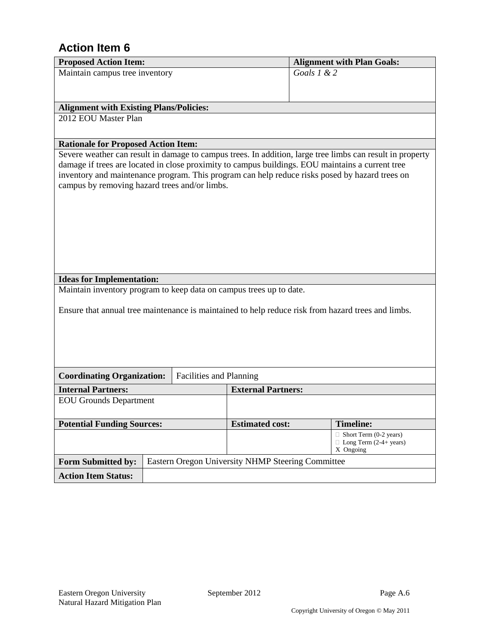| <b>Proposed Action Item:</b>                                                                       |                                                             |                         |                                                   |               | <b>Alignment with Plan Goals:</b>                                                                         |  |
|----------------------------------------------------------------------------------------------------|-------------------------------------------------------------|-------------------------|---------------------------------------------------|---------------|-----------------------------------------------------------------------------------------------------------|--|
| Maintain campus tree inventory                                                                     |                                                             |                         |                                                   | Goals $1 & 2$ |                                                                                                           |  |
|                                                                                                    |                                                             |                         |                                                   |               |                                                                                                           |  |
|                                                                                                    |                                                             |                         |                                                   |               |                                                                                                           |  |
| <b>Alignment with Existing Plans/Policies:</b>                                                     |                                                             |                         |                                                   |               |                                                                                                           |  |
| 2012 EOU Master Plan                                                                               |                                                             |                         |                                                   |               |                                                                                                           |  |
|                                                                                                    |                                                             |                         |                                                   |               |                                                                                                           |  |
| <b>Rationale for Proposed Action Item:</b>                                                         |                                                             |                         |                                                   |               |                                                                                                           |  |
|                                                                                                    |                                                             |                         |                                                   |               | Severe weather can result in damage to campus trees. In addition, large tree limbs can result in property |  |
| damage if trees are located in close proximity to campus buildings. EOU maintains a current tree   |                                                             |                         |                                                   |               |                                                                                                           |  |
| inventory and maintenance program. This program can help reduce risks posed by hazard trees on     |                                                             |                         |                                                   |               |                                                                                                           |  |
| campus by removing hazard trees and/or limbs.                                                      |                                                             |                         |                                                   |               |                                                                                                           |  |
|                                                                                                    |                                                             |                         |                                                   |               |                                                                                                           |  |
|                                                                                                    |                                                             |                         |                                                   |               |                                                                                                           |  |
|                                                                                                    |                                                             |                         |                                                   |               |                                                                                                           |  |
|                                                                                                    |                                                             |                         |                                                   |               |                                                                                                           |  |
|                                                                                                    |                                                             |                         |                                                   |               |                                                                                                           |  |
|                                                                                                    |                                                             |                         |                                                   |               |                                                                                                           |  |
|                                                                                                    |                                                             |                         |                                                   |               |                                                                                                           |  |
| <b>Ideas for Implementation:</b>                                                                   |                                                             |                         |                                                   |               |                                                                                                           |  |
| Maintain inventory program to keep data on campus trees up to date.                                |                                                             |                         |                                                   |               |                                                                                                           |  |
|                                                                                                    |                                                             |                         |                                                   |               |                                                                                                           |  |
| Ensure that annual tree maintenance is maintained to help reduce risk from hazard trees and limbs. |                                                             |                         |                                                   |               |                                                                                                           |  |
|                                                                                                    |                                                             |                         |                                                   |               |                                                                                                           |  |
|                                                                                                    |                                                             |                         |                                                   |               |                                                                                                           |  |
|                                                                                                    |                                                             |                         |                                                   |               |                                                                                                           |  |
|                                                                                                    |                                                             |                         |                                                   |               |                                                                                                           |  |
| <b>Coordinating Organization:</b>                                                                  |                                                             | Facilities and Planning |                                                   |               |                                                                                                           |  |
|                                                                                                    |                                                             |                         |                                                   |               |                                                                                                           |  |
| <b>Internal Partners:</b><br><b>EOU Grounds Department</b>                                         |                                                             |                         | <b>External Partners:</b>                         |               |                                                                                                           |  |
|                                                                                                    |                                                             |                         |                                                   |               |                                                                                                           |  |
|                                                                                                    | <b>Potential Funding Sources:</b><br><b>Estimated cost:</b> |                         |                                                   |               |                                                                                                           |  |
|                                                                                                    |                                                             |                         |                                                   |               | <b>Timeline:</b><br>$\Box$ Short Term (0-2 years)                                                         |  |
| $\Box$ Long Term (2-4+ years)                                                                      |                                                             |                         |                                                   |               |                                                                                                           |  |
|                                                                                                    | X Ongoing                                                   |                         |                                                   |               |                                                                                                           |  |
| <b>Form Submitted by:</b>                                                                          |                                                             |                         | Eastern Oregon University NHMP Steering Committee |               |                                                                                                           |  |
| <b>Action Item Status:</b>                                                                         |                                                             |                         |                                                   |               |                                                                                                           |  |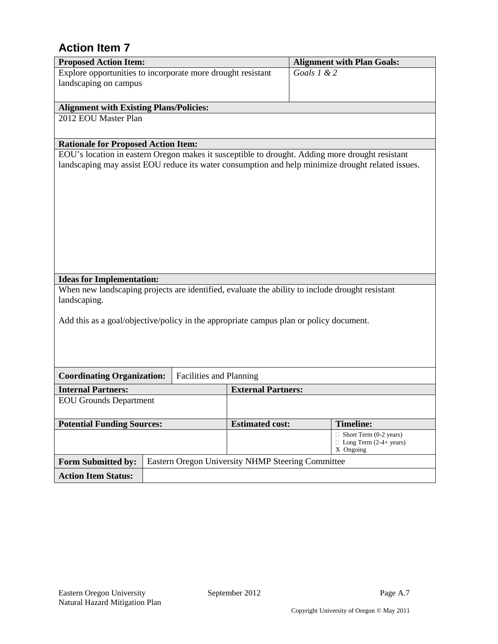| <b>Proposed Action Item:</b>                                                                    |  |                         |                                                   |                                            | <b>Alignment with Plan Goals:</b>                                                                 |
|-------------------------------------------------------------------------------------------------|--|-------------------------|---------------------------------------------------|--------------------------------------------|---------------------------------------------------------------------------------------------------|
| Explore opportunities to incorporate more drought resistant                                     |  |                         |                                                   | Goals $1 & 2$                              |                                                                                                   |
| landscaping on campus                                                                           |  |                         |                                                   |                                            |                                                                                                   |
|                                                                                                 |  |                         |                                                   |                                            |                                                                                                   |
| <b>Alignment with Existing Plans/Policies:</b>                                                  |  |                         |                                                   |                                            |                                                                                                   |
| 2012 EOU Master Plan                                                                            |  |                         |                                                   |                                            |                                                                                                   |
|                                                                                                 |  |                         |                                                   |                                            |                                                                                                   |
| <b>Rationale for Proposed Action Item:</b>                                                      |  |                         |                                                   |                                            |                                                                                                   |
| EOU's location in eastern Oregon makes it susceptible to drought. Adding more drought resistant |  |                         |                                                   |                                            |                                                                                                   |
|                                                                                                 |  |                         |                                                   |                                            | landscaping may assist EOU reduce its water consumption and help minimize drought related issues. |
|                                                                                                 |  |                         |                                                   |                                            |                                                                                                   |
|                                                                                                 |  |                         |                                                   |                                            |                                                                                                   |
|                                                                                                 |  |                         |                                                   |                                            |                                                                                                   |
|                                                                                                 |  |                         |                                                   |                                            |                                                                                                   |
|                                                                                                 |  |                         |                                                   |                                            |                                                                                                   |
|                                                                                                 |  |                         |                                                   |                                            |                                                                                                   |
|                                                                                                 |  |                         |                                                   |                                            |                                                                                                   |
|                                                                                                 |  |                         |                                                   |                                            |                                                                                                   |
|                                                                                                 |  |                         |                                                   |                                            |                                                                                                   |
|                                                                                                 |  |                         |                                                   |                                            |                                                                                                   |
| <b>Ideas for Implementation:</b>                                                                |  |                         |                                                   |                                            |                                                                                                   |
| When new landscaping projects are identified, evaluate the ability to include drought resistant |  |                         |                                                   |                                            |                                                                                                   |
| landscaping.                                                                                    |  |                         |                                                   |                                            |                                                                                                   |
|                                                                                                 |  |                         |                                                   |                                            |                                                                                                   |
| Add this as a goal/objective/policy in the appropriate campus plan or policy document.          |  |                         |                                                   |                                            |                                                                                                   |
|                                                                                                 |  |                         |                                                   |                                            |                                                                                                   |
|                                                                                                 |  |                         |                                                   |                                            |                                                                                                   |
|                                                                                                 |  |                         |                                                   |                                            |                                                                                                   |
|                                                                                                 |  |                         |                                                   |                                            |                                                                                                   |
| <b>Coordinating Organization:</b>                                                               |  | Facilities and Planning |                                                   |                                            |                                                                                                   |
| <b>Internal Partners:</b>                                                                       |  |                         | <b>External Partners:</b>                         |                                            |                                                                                                   |
| <b>EOU</b> Grounds Department                                                                   |  |                         |                                                   |                                            |                                                                                                   |
|                                                                                                 |  |                         |                                                   |                                            |                                                                                                   |
| <b>Potential Funding Sources:</b>                                                               |  |                         | <b>Estimated cost:</b>                            |                                            | <b>Timeline:</b>                                                                                  |
|                                                                                                 |  |                         |                                                   |                                            | $\Box$ Short Term (0-2 years)                                                                     |
|                                                                                                 |  |                         |                                                   | $\Box$ Long Term (2-4+ years)<br>X Ongoing |                                                                                                   |
| <b>Form Submitted by:</b>                                                                       |  |                         | Eastern Oregon University NHMP Steering Committee |                                            |                                                                                                   |
|                                                                                                 |  |                         |                                                   |                                            |                                                                                                   |
| <b>Action Item Status:</b>                                                                      |  |                         |                                                   |                                            |                                                                                                   |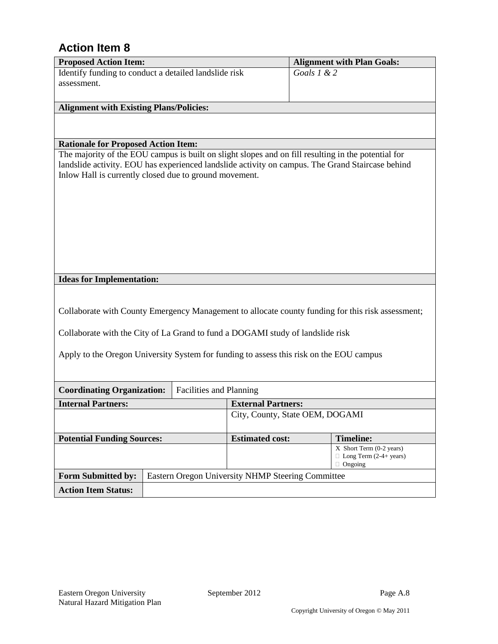| <b>Proposed Action Item:</b>                                                                                                                                                                            |  |                                |                                                   |               | <b>Alignment with Plan Goals:</b>                                                                 |
|---------------------------------------------------------------------------------------------------------------------------------------------------------------------------------------------------------|--|--------------------------------|---------------------------------------------------|---------------|---------------------------------------------------------------------------------------------------|
| Identify funding to conduct a detailed landslide risk                                                                                                                                                   |  |                                |                                                   | Goals $1 & 2$ |                                                                                                   |
| assessment.                                                                                                                                                                                             |  |                                |                                                   |               |                                                                                                   |
|                                                                                                                                                                                                         |  |                                |                                                   |               |                                                                                                   |
| <b>Alignment with Existing Plans/Policies:</b>                                                                                                                                                          |  |                                |                                                   |               |                                                                                                   |
|                                                                                                                                                                                                         |  |                                |                                                   |               |                                                                                                   |
|                                                                                                                                                                                                         |  |                                |                                                   |               |                                                                                                   |
| <b>Rationale for Proposed Action Item:</b>                                                                                                                                                              |  |                                |                                                   |               |                                                                                                   |
| The majority of the EOU campus is built on slight slopes and on fill resulting in the potential for<br>landslide activity. EOU has experienced landslide activity on campus. The Grand Staircase behind |  |                                |                                                   |               |                                                                                                   |
| Inlow Hall is currently closed due to ground movement.                                                                                                                                                  |  |                                |                                                   |               |                                                                                                   |
|                                                                                                                                                                                                         |  |                                |                                                   |               |                                                                                                   |
|                                                                                                                                                                                                         |  |                                |                                                   |               |                                                                                                   |
|                                                                                                                                                                                                         |  |                                |                                                   |               |                                                                                                   |
|                                                                                                                                                                                                         |  |                                |                                                   |               |                                                                                                   |
|                                                                                                                                                                                                         |  |                                |                                                   |               |                                                                                                   |
|                                                                                                                                                                                                         |  |                                |                                                   |               |                                                                                                   |
|                                                                                                                                                                                                         |  |                                |                                                   |               |                                                                                                   |
|                                                                                                                                                                                                         |  |                                |                                                   |               |                                                                                                   |
| <b>Ideas for Implementation:</b>                                                                                                                                                                        |  |                                |                                                   |               |                                                                                                   |
|                                                                                                                                                                                                         |  |                                |                                                   |               |                                                                                                   |
|                                                                                                                                                                                                         |  |                                |                                                   |               |                                                                                                   |
|                                                                                                                                                                                                         |  |                                |                                                   |               | Collaborate with County Emergency Management to allocate county funding for this risk assessment; |
|                                                                                                                                                                                                         |  |                                |                                                   |               |                                                                                                   |
| Collaborate with the City of La Grand to fund a DOGAMI study of landslide risk                                                                                                                          |  |                                |                                                   |               |                                                                                                   |
| Apply to the Oregon University System for funding to assess this risk on the EOU campus                                                                                                                 |  |                                |                                                   |               |                                                                                                   |
|                                                                                                                                                                                                         |  |                                |                                                   |               |                                                                                                   |
|                                                                                                                                                                                                         |  |                                |                                                   |               |                                                                                                   |
| <b>Coordinating Organization:</b>                                                                                                                                                                       |  | <b>Facilities and Planning</b> |                                                   |               |                                                                                                   |
| <b>Internal Partners:</b>                                                                                                                                                                               |  |                                | <b>External Partners:</b>                         |               |                                                                                                   |
|                                                                                                                                                                                                         |  |                                | City, County, State OEM, DOGAMI                   |               |                                                                                                   |
|                                                                                                                                                                                                         |  |                                |                                                   |               |                                                                                                   |
| <b>Potential Funding Sources:</b>                                                                                                                                                                       |  |                                | <b>Estimated cost:</b>                            |               | <b>Timeline:</b>                                                                                  |
|                                                                                                                                                                                                         |  |                                |                                                   |               | X Short Term (0-2 years)                                                                          |
| $\Box$ Long Term (2-4+ years)                                                                                                                                                                           |  |                                |                                                   |               | $\Box$ Ongoing                                                                                    |
| <b>Form Submitted by:</b>                                                                                                                                                                               |  |                                | Eastern Oregon University NHMP Steering Committee |               |                                                                                                   |
|                                                                                                                                                                                                         |  |                                |                                                   |               |                                                                                                   |
| <b>Action Item Status:</b>                                                                                                                                                                              |  |                                |                                                   |               |                                                                                                   |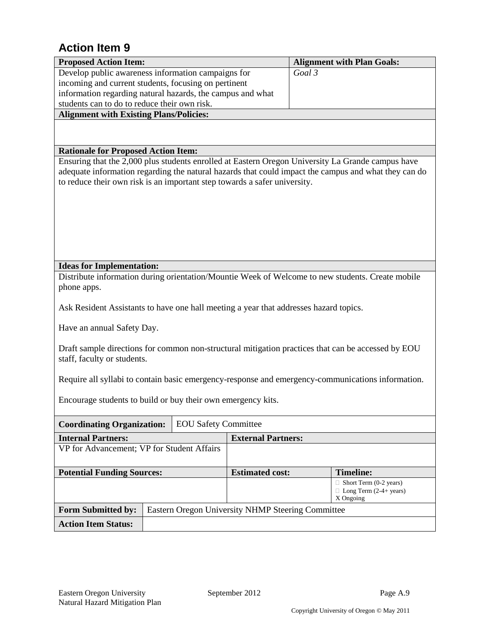| <b>Proposed Action Item:</b>                                                          |  |                             |                                                   | <b>Alignment with Plan Goals:</b>                                                                    |  |
|---------------------------------------------------------------------------------------|--|-----------------------------|---------------------------------------------------|------------------------------------------------------------------------------------------------------|--|
| Develop public awareness information campaigns for                                    |  |                             |                                                   | Goal 3                                                                                               |  |
| incoming and current students, focusing on pertinent                                  |  |                             |                                                   |                                                                                                      |  |
| information regarding natural hazards, the campus and what                            |  |                             |                                                   |                                                                                                      |  |
| students can to do to reduce their own risk.                                          |  |                             |                                                   |                                                                                                      |  |
| <b>Alignment with Existing Plans/Policies:</b>                                        |  |                             |                                                   |                                                                                                      |  |
|                                                                                       |  |                             |                                                   |                                                                                                      |  |
|                                                                                       |  |                             |                                                   |                                                                                                      |  |
| <b>Rationale for Proposed Action Item:</b>                                            |  |                             |                                                   | Ensuring that the 2,000 plus students enrolled at Eastern Oregon University La Grande campus have    |  |
|                                                                                       |  |                             |                                                   | adequate information regarding the natural hazards that could impact the campus and what they can do |  |
| to reduce their own risk is an important step towards a safer university.             |  |                             |                                                   |                                                                                                      |  |
|                                                                                       |  |                             |                                                   |                                                                                                      |  |
|                                                                                       |  |                             |                                                   |                                                                                                      |  |
|                                                                                       |  |                             |                                                   |                                                                                                      |  |
|                                                                                       |  |                             |                                                   |                                                                                                      |  |
|                                                                                       |  |                             |                                                   |                                                                                                      |  |
|                                                                                       |  |                             |                                                   |                                                                                                      |  |
|                                                                                       |  |                             |                                                   |                                                                                                      |  |
| <b>Ideas for Implementation:</b>                                                      |  |                             |                                                   |                                                                                                      |  |
|                                                                                       |  |                             |                                                   | Distribute information during orientation/Mountie Week of Welcome to new students. Create mobile     |  |
| phone apps.                                                                           |  |                             |                                                   |                                                                                                      |  |
| Ask Resident Assistants to have one hall meeting a year that addresses hazard topics. |  |                             |                                                   |                                                                                                      |  |
|                                                                                       |  |                             |                                                   |                                                                                                      |  |
| Have an annual Safety Day.                                                            |  |                             |                                                   |                                                                                                      |  |
|                                                                                       |  |                             |                                                   |                                                                                                      |  |
|                                                                                       |  |                             |                                                   | Draft sample directions for common non-structural mitigation practices that can be accessed by EOU   |  |
| staff, faculty or students.                                                           |  |                             |                                                   |                                                                                                      |  |
|                                                                                       |  |                             |                                                   |                                                                                                      |  |
|                                                                                       |  |                             |                                                   | Require all syllabi to contain basic emergency-response and emergency-communications information.    |  |
|                                                                                       |  |                             |                                                   |                                                                                                      |  |
| Encourage students to build or buy their own emergency kits.                          |  |                             |                                                   |                                                                                                      |  |
|                                                                                       |  |                             |                                                   |                                                                                                      |  |
| <b>Coordinating Organization:</b>                                                     |  | <b>EOU Safety Committee</b> |                                                   |                                                                                                      |  |
| <b>Internal Partners:</b>                                                             |  |                             | <b>External Partners:</b>                         |                                                                                                      |  |
| VP for Advancement; VP for Student Affairs                                            |  |                             |                                                   |                                                                                                      |  |
|                                                                                       |  |                             |                                                   |                                                                                                      |  |
| <b>Potential Funding Sources:</b>                                                     |  |                             | <b>Estimated cost:</b>                            | <b>Timeline:</b>                                                                                     |  |
|                                                                                       |  |                             |                                                   | $\Box$ Short Term (0-2 years)<br>$\Box$ Long Term (2-4+ years)                                       |  |
|                                                                                       |  |                             |                                                   | X Ongoing                                                                                            |  |
| <b>Form Submitted by:</b>                                                             |  |                             | Eastern Oregon University NHMP Steering Committee |                                                                                                      |  |
| <b>Action Item Status:</b>                                                            |  |                             |                                                   |                                                                                                      |  |
|                                                                                       |  |                             |                                                   |                                                                                                      |  |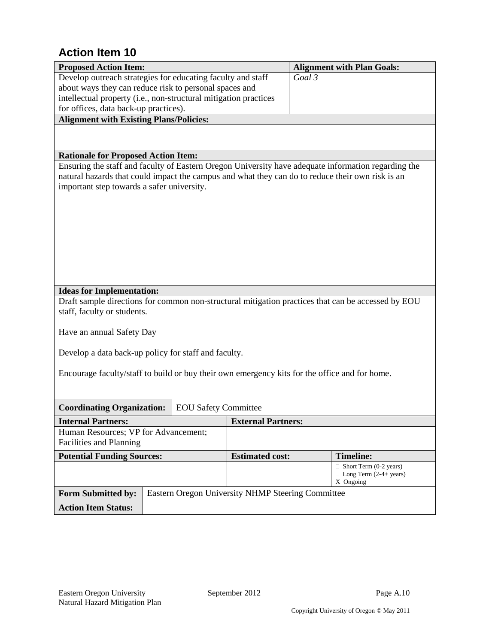| <b>Proposed Action Item:</b>                                                                                                                                                                                                                          |  |                             |                                                   |                                                                             | <b>Alignment with Plan Goals:</b>                                                                  |
|-------------------------------------------------------------------------------------------------------------------------------------------------------------------------------------------------------------------------------------------------------|--|-----------------------------|---------------------------------------------------|-----------------------------------------------------------------------------|----------------------------------------------------------------------------------------------------|
| Develop outreach strategies for educating faculty and staff                                                                                                                                                                                           |  |                             |                                                   | Goal 3                                                                      |                                                                                                    |
| about ways they can reduce risk to personal spaces and                                                                                                                                                                                                |  |                             |                                                   |                                                                             |                                                                                                    |
| intellectual property (i.e., non-structural mitigation practices                                                                                                                                                                                      |  |                             |                                                   |                                                                             |                                                                                                    |
| for offices, data back-up practices).                                                                                                                                                                                                                 |  |                             |                                                   |                                                                             |                                                                                                    |
| <b>Alignment with Existing Plans/Policies:</b>                                                                                                                                                                                                        |  |                             |                                                   |                                                                             |                                                                                                    |
|                                                                                                                                                                                                                                                       |  |                             |                                                   |                                                                             |                                                                                                    |
| <b>Rationale for Proposed Action Item:</b>                                                                                                                                                                                                            |  |                             |                                                   |                                                                             |                                                                                                    |
| Ensuring the staff and faculty of Eastern Oregon University have adequate information regarding the<br>natural hazards that could impact the campus and what they can do to reduce their own risk is an<br>important step towards a safer university. |  |                             |                                                   |                                                                             |                                                                                                    |
| <b>Ideas for Implementation:</b><br>staff, faculty or students.<br>Have an annual Safety Day                                                                                                                                                          |  |                             |                                                   |                                                                             | Draft sample directions for common non-structural mitigation practices that can be accessed by EOU |
| Develop a data back-up policy for staff and faculty.                                                                                                                                                                                                  |  |                             |                                                   |                                                                             |                                                                                                    |
| Encourage faculty/staff to build or buy their own emergency kits for the office and for home.                                                                                                                                                         |  |                             |                                                   |                                                                             |                                                                                                    |
| <b>Coordinating Organization:</b>                                                                                                                                                                                                                     |  | <b>EOU Safety Committee</b> |                                                   |                                                                             |                                                                                                    |
| <b>Internal Partners:</b>                                                                                                                                                                                                                             |  |                             | <b>External Partners:</b>                         |                                                                             |                                                                                                    |
| Human Resources; VP for Advancement;<br>Facilities and Planning                                                                                                                                                                                       |  |                             |                                                   |                                                                             |                                                                                                    |
| <b>Potential Funding Sources:</b>                                                                                                                                                                                                                     |  |                             | <b>Estimated cost:</b>                            |                                                                             | <b>Timeline:</b>                                                                                   |
|                                                                                                                                                                                                                                                       |  |                             |                                                   | $\Box$ Short Term (0-2 years)<br>$\Box$ Long Term (2-4+ years)<br>X Ongoing |                                                                                                    |
| <b>Form Submitted by:</b>                                                                                                                                                                                                                             |  |                             | Eastern Oregon University NHMP Steering Committee |                                                                             |                                                                                                    |
| <b>Action Item Status:</b>                                                                                                                                                                                                                            |  |                             |                                                   |                                                                             |                                                                                                    |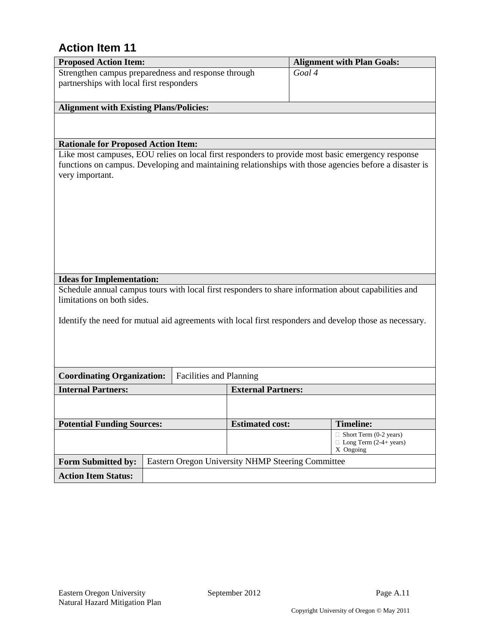| <b>Proposed Action Item:</b>                        |                                                   |                           | <b>Alignment with Plan Goals:</b>                                                                       |  |  |
|-----------------------------------------------------|---------------------------------------------------|---------------------------|---------------------------------------------------------------------------------------------------------|--|--|
| Strengthen campus preparedness and response through |                                                   |                           | Goal 4                                                                                                  |  |  |
| partnerships with local first responders            |                                                   |                           |                                                                                                         |  |  |
|                                                     |                                                   |                           |                                                                                                         |  |  |
| <b>Alignment with Existing Plans/Policies:</b>      |                                                   |                           |                                                                                                         |  |  |
|                                                     |                                                   |                           |                                                                                                         |  |  |
|                                                     |                                                   |                           |                                                                                                         |  |  |
| <b>Rationale for Proposed Action Item:</b>          |                                                   |                           |                                                                                                         |  |  |
|                                                     |                                                   |                           | Like most campuses, EOU relies on local first responders to provide most basic emergency response       |  |  |
|                                                     |                                                   |                           | functions on campus. Developing and maintaining relationships with those agencies before a disaster is  |  |  |
| very important.                                     |                                                   |                           |                                                                                                         |  |  |
|                                                     |                                                   |                           |                                                                                                         |  |  |
|                                                     |                                                   |                           |                                                                                                         |  |  |
|                                                     |                                                   |                           |                                                                                                         |  |  |
|                                                     |                                                   |                           |                                                                                                         |  |  |
|                                                     |                                                   |                           |                                                                                                         |  |  |
|                                                     |                                                   |                           |                                                                                                         |  |  |
|                                                     |                                                   |                           |                                                                                                         |  |  |
|                                                     |                                                   |                           |                                                                                                         |  |  |
| <b>Ideas for Implementation:</b>                    |                                                   |                           |                                                                                                         |  |  |
|                                                     |                                                   |                           | Schedule annual campus tours with local first responders to share information about capabilities and    |  |  |
| limitations on both sides.                          |                                                   |                           |                                                                                                         |  |  |
|                                                     |                                                   |                           |                                                                                                         |  |  |
|                                                     |                                                   |                           | Identify the need for mutual aid agreements with local first responders and develop those as necessary. |  |  |
|                                                     |                                                   |                           |                                                                                                         |  |  |
|                                                     |                                                   |                           |                                                                                                         |  |  |
|                                                     |                                                   |                           |                                                                                                         |  |  |
| <b>Coordinating Organization:</b>                   | Facilities and Planning                           |                           |                                                                                                         |  |  |
|                                                     |                                                   |                           |                                                                                                         |  |  |
| <b>Internal Partners:</b>                           |                                                   | <b>External Partners:</b> |                                                                                                         |  |  |
|                                                     |                                                   |                           |                                                                                                         |  |  |
|                                                     |                                                   |                           |                                                                                                         |  |  |
| <b>Potential Funding Sources:</b>                   |                                                   | <b>Estimated cost:</b>    | <b>Timeline:</b>                                                                                        |  |  |
|                                                     |                                                   |                           | $\Box$ Short Term (0-2 years)<br>$\Box$ Long Term (2-4+ years)                                          |  |  |
| X Ongoing                                           |                                                   |                           |                                                                                                         |  |  |
| <b>Form Submitted by:</b>                           | Eastern Oregon University NHMP Steering Committee |                           |                                                                                                         |  |  |
| <b>Action Item Status:</b>                          |                                                   |                           |                                                                                                         |  |  |
|                                                     |                                                   |                           |                                                                                                         |  |  |